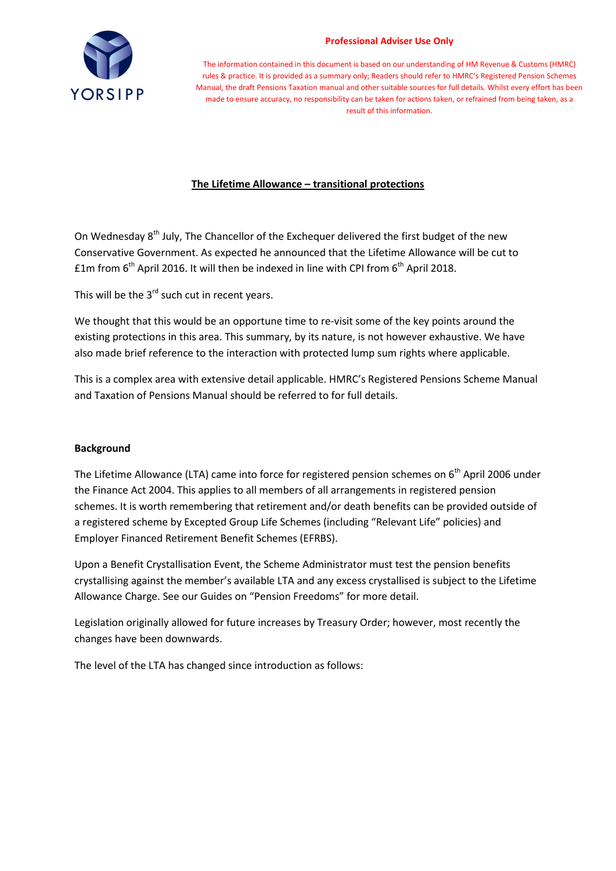

#### **Professional Adviser Use Only**

The information contained in this document is based on our understanding of HM Revenue & Customs (HMRC) rules & practice. It is provided as a summary only; Readers should refer to HMRC's Registered Pension Schemes Manual, the draft Pensions Taxation manual and other suitable sources for full details. Whilst every effort has been made to ensure accuracy, no responsibility can be taken for actions taken, or refrained from being taken, as a result of this information.

## **The Lifetime Allowance – transitional protections**

On Wednesday  $8<sup>th</sup>$  July, The Chancellor of the Exchequer delivered the first budget of the new Conservative Government. As expected he announced that the Lifetime Allowance will be cut to  $£1m$  from  $6<sup>th</sup>$  April 2016. It will then be indexed in line with CPI from  $6<sup>th</sup>$  April 2018.

This will be the  $3^{rd}$  such cut in recent years.

We thought that this would be an opportune time to re-visit some of the key points around the existing protections in this area. This summary, by its nature, is not however exhaustive. We have also made brief reference to the interaction with protected lump sum rights where applicable.

This is a complex area with extensive detail applicable. HMRC's Registered Pensions Scheme Manual and Taxation of Pensions Manual should be referred to for full details.

## **Background**

The Lifetime Allowance (LTA) came into force for registered pension schemes on  $6<sup>th</sup>$  April 2006 under the Finance Act 2004. This applies to all members of all arrangements in registered pension schemes. It is worth remembering that retirement and/or death benefits can be provided outside of a registered scheme by Excepted Group Life Schemes (including "Relevant Life" policies) and Employer Financed Retirement Benefit Schemes (EFRBS).

Upon a Benefit Crystallisation Event, the Scheme Administrator must test the pension benefits crystallising against the member's available LTA and any excess crystallised is subject to the Lifetime Allowance Charge. See our Guides on "Pension Freedoms" for more detail.

Legislation originally allowed for future increases by Treasury Order; however, most recently the changes have been downwards.

The level of the LTA has changed since introduction as follows: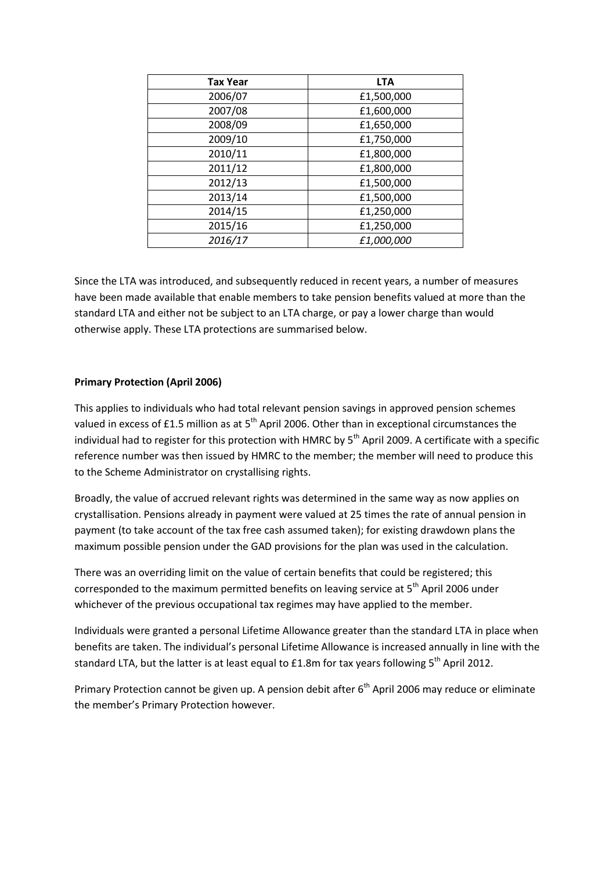| <b>Tax Year</b> | <b>LTA</b> |
|-----------------|------------|
| 2006/07         | £1,500,000 |
| 2007/08         | £1,600,000 |
| 2008/09         | £1,650,000 |
| 2009/10         | £1,750,000 |
| 2010/11         | £1,800,000 |
| 2011/12         | £1,800,000 |
| 2012/13         | £1,500,000 |
| 2013/14         | £1,500,000 |
| 2014/15         | £1,250,000 |
| 2015/16         | £1,250,000 |
| 2016/17         | £1,000,000 |

Since the LTA was introduced, and subsequently reduced in recent years, a number of measures have been made available that enable members to take pension benefits valued at more than the standard LTA and either not be subject to an LTA charge, or pay a lower charge than would otherwise apply. These LTA protections are summarised below.

## **Primary Protection (April 2006)**

This applies to individuals who had total relevant pension savings in approved pension schemes valued in excess of £1.5 million as at  $5<sup>th</sup>$  April 2006. Other than in exceptional circumstances the individual had to register for this protection with HMRC by 5<sup>th</sup> April 2009. A certificate with a specific reference number was then issued by HMRC to the member; the member will need to produce this to the Scheme Administrator on crystallising rights.

Broadly, the value of accrued relevant rights was determined in the same way as now applies on crystallisation. Pensions already in payment were valued at 25 times the rate of annual pension in payment (to take account of the tax free cash assumed taken); for existing drawdown plans the maximum possible pension under the GAD provisions for the plan was used in the calculation.

There was an overriding limit on the value of certain benefits that could be registered; this corresponded to the maximum permitted benefits on leaving service at  $5<sup>th</sup>$  April 2006 under whichever of the previous occupational tax regimes may have applied to the member.

Individuals were granted a personal Lifetime Allowance greater than the standard LTA in place when benefits are taken. The individual's personal Lifetime Allowance is increased annually in line with the standard LTA, but the latter is at least equal to  $£1.8m$  for tax years following  $5<sup>th</sup>$  April 2012.

Primary Protection cannot be given up. A pension debit after 6<sup>th</sup> April 2006 may reduce or eliminate the member's Primary Protection however.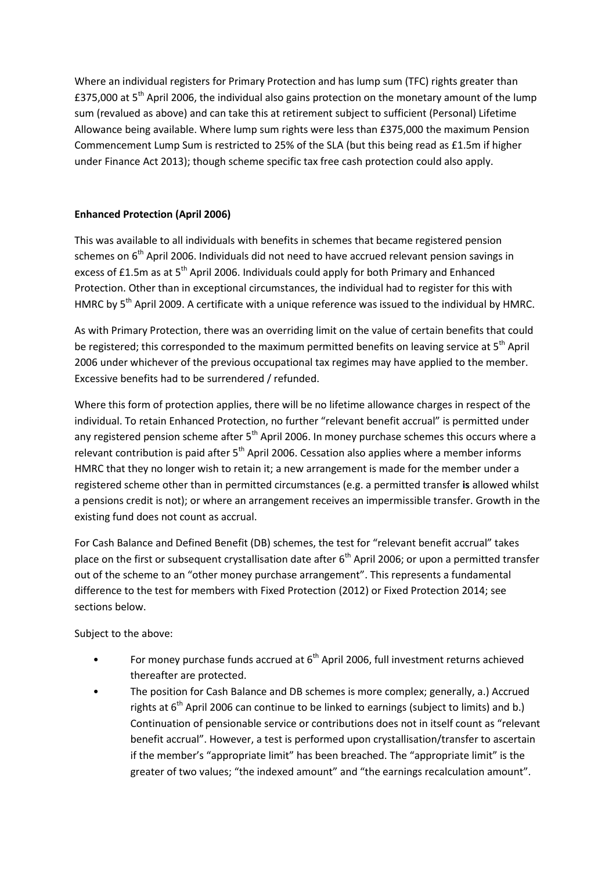Where an individual registers for Primary Protection and has lump sum (TFC) rights greater than £375,000 at 5<sup>th</sup> April 2006, the individual also gains protection on the monetary amount of the lump sum (revalued as above) and can take this at retirement subject to sufficient (Personal) Lifetime Allowance being available. Where lump sum rights were less than £375,000 the maximum Pension Commencement Lump Sum is restricted to 25% of the SLA (but this being read as £1.5m if higher under Finance Act 2013); though scheme specific tax free cash protection could also apply.

## **Enhanced Protection (April 2006)**

This was available to all individuals with benefits in schemes that became registered pension schemes on 6<sup>th</sup> April 2006. Individuals did not need to have accrued relevant pension savings in excess of £1.5m as at 5<sup>th</sup> April 2006. Individuals could apply for both Primary and Enhanced Protection. Other than in exceptional circumstances, the individual had to register for this with HMRC by 5<sup>th</sup> April 2009. A certificate with a unique reference was issued to the individual by HMRC.

As with Primary Protection, there was an overriding limit on the value of certain benefits that could be registered; this corresponded to the maximum permitted benefits on leaving service at 5<sup>th</sup> April 2006 under whichever of the previous occupational tax regimes may have applied to the member. Excessive benefits had to be surrendered / refunded.

Where this form of protection applies, there will be no lifetime allowance charges in respect of the individual. To retain Enhanced Protection, no further "relevant benefit accrual" is permitted under any registered pension scheme after  $5<sup>th</sup>$  April 2006. In money purchase schemes this occurs where a relevant contribution is paid after  $5<sup>th</sup>$  April 2006. Cessation also applies where a member informs HMRC that they no longer wish to retain it; a new arrangement is made for the member under a registered scheme other than in permitted circumstances (e.g. a permitted transfer **is** allowed whilst a pensions credit is not); or where an arrangement receives an impermissible transfer. Growth in the existing fund does not count as accrual.

For Cash Balance and Defined Benefit (DB) schemes, the test for "relevant benefit accrual" takes place on the first or subsequent crystallisation date after  $6<sup>th</sup>$  April 2006; or upon a permitted transfer out of the scheme to an "other money purchase arrangement". This represents a fundamental difference to the test for members with Fixed Protection (2012) or Fixed Protection 2014; see sections below.

Subject to the above:

- For money purchase funds accrued at  $6<sup>th</sup>$  April 2006, full investment returns achieved thereafter are protected.
- The position for Cash Balance and DB schemes is more complex; generally, a.) Accrued rights at  $6<sup>th</sup>$  April 2006 can continue to be linked to earnings (subject to limits) and b.) Continuation of pensionable service or contributions does not in itself count as "relevant benefit accrual". However, a test is performed upon crystallisation/transfer to ascertain if the member's "appropriate limit" has been breached. The "appropriate limit" is the greater of two values; "the indexed amount" and "the earnings recalculation amount".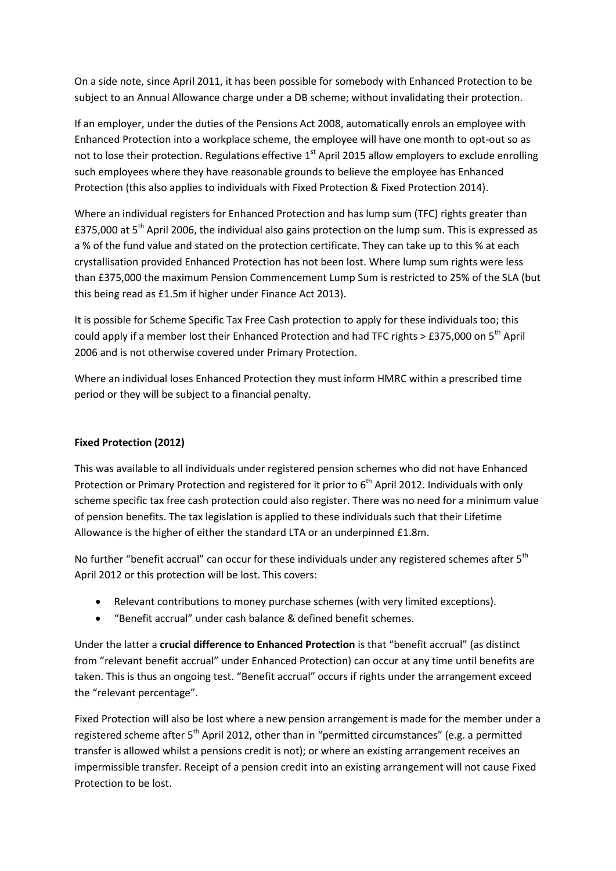On a side note, since April 2011, it has been possible for somebody with Enhanced Protection to be subject to an Annual Allowance charge under a DB scheme; without invalidating their protection.

If an employer, under the duties of the Pensions Act 2008, automatically enrols an employee with Enhanced Protection into a workplace scheme, the employee will have one month to opt-out so as not to lose their protection. Regulations effective  $1<sup>st</sup>$  April 2015 allow employers to exclude enrolling such employees where they have reasonable grounds to believe the employee has Enhanced Protection (this also applies to individuals with Fixed Protection & Fixed Protection 2014).

Where an individual registers for Enhanced Protection and has lump sum (TFC) rights greater than £375,000 at 5<sup>th</sup> April 2006, the individual also gains protection on the lump sum. This is expressed as a % of the fund value and stated on the protection certificate. They can take up to this % at each crystallisation provided Enhanced Protection has not been lost. Where lump sum rights were less than £375,000 the maximum Pension Commencement Lump Sum is restricted to 25% of the SLA (but this being read as £1.5m if higher under Finance Act 2013).

It is possible for Scheme Specific Tax Free Cash protection to apply for these individuals too; this could apply if a member lost their Enhanced Protection and had TFC rights  $>$  £375,000 on 5<sup>th</sup> April 2006 and is not otherwise covered under Primary Protection.

Where an individual loses Enhanced Protection they must inform HMRC within a prescribed time period or they will be subject to a financial penalty.

## **Fixed Protection (2012)**

This was available to all individuals under registered pension schemes who did not have Enhanced Protection or Primary Protection and registered for it prior to  $6<sup>th</sup>$  April 2012. Individuals with only scheme specific tax free cash protection could also register. There was no need for a minimum value of pension benefits. The tax legislation is applied to these individuals such that their Lifetime Allowance is the higher of either the standard LTA or an underpinned £1.8m.

No further "benefit accrual" can occur for these individuals under any registered schemes after 5<sup>th</sup> April 2012 or this protection will be lost. This covers:

- Relevant contributions to money purchase schemes (with very limited exceptions).
- "Benefit accrual" under cash balance & defined benefit schemes.

Under the latter a **crucial difference to Enhanced Protection** is that "benefit accrual" (as distinct from "relevant benefit accrual" under Enhanced Protection) can occur at any time until benefits are taken. This is thus an ongoing test. "Benefit accrual" occurs if rights under the arrangement exceed the "relevant percentage".

Fixed Protection will also be lost where a new pension arrangement is made for the member under a registered scheme after 5<sup>th</sup> April 2012, other than in "permitted circumstances" (e.g. a permitted transfer is allowed whilst a pensions credit is not); or where an existing arrangement receives an impermissible transfer. Receipt of a pension credit into an existing arrangement will not cause Fixed Protection to be lost.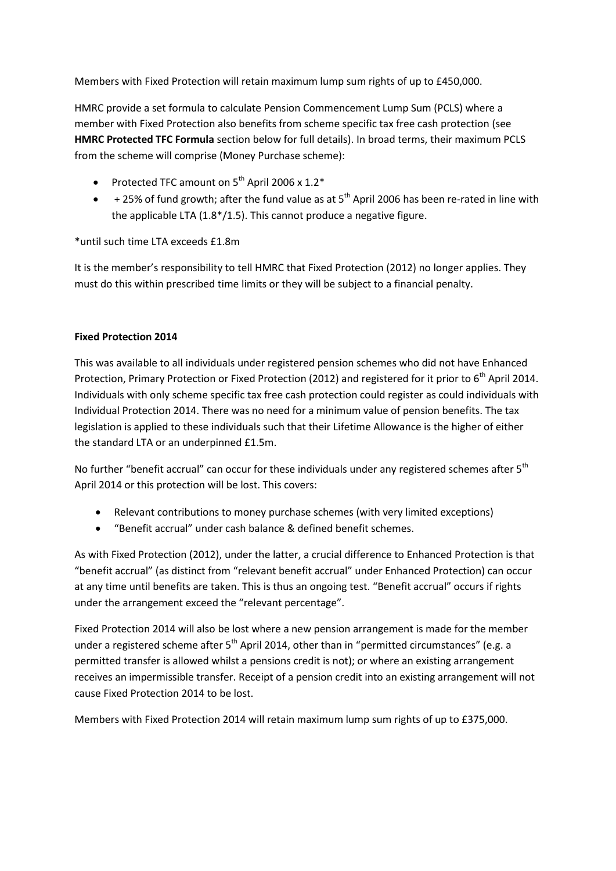Members with Fixed Protection will retain maximum lump sum rights of up to £450,000.

HMRC provide a set formula to calculate Pension Commencement Lump Sum (PCLS) where a member with Fixed Protection also benefits from scheme specific tax free cash protection (see **HMRC Protected TFC Formula** section below for full details). In broad terms, their maximum PCLS from the scheme will comprise (Money Purchase scheme):

- Protected TFC amount on  $5^{th}$  April 2006 x 1.2\*
- $\bullet$  + 25% of fund growth; after the fund value as at 5<sup>th</sup> April 2006 has been re-rated in line with the applicable LTA (1.8\*/1.5). This cannot produce a negative figure.

\*until such time LTA exceeds £1.8m

It is the member's responsibility to tell HMRC that Fixed Protection (2012) no longer applies. They must do this within prescribed time limits or they will be subject to a financial penalty.

# **Fixed Protection 2014**

This was available to all individuals under registered pension schemes who did not have Enhanced Protection, Primary Protection or Fixed Protection (2012) and registered for it prior to 6<sup>th</sup> April 2014. Individuals with only scheme specific tax free cash protection could register as could individuals with Individual Protection 2014. There was no need for a minimum value of pension benefits. The tax legislation is applied to these individuals such that their Lifetime Allowance is the higher of either the standard LTA or an underpinned £1.5m.

No further "benefit accrual" can occur for these individuals under any registered schemes after 5<sup>th</sup> April 2014 or this protection will be lost. This covers:

- Relevant contributions to money purchase schemes (with very limited exceptions)
- "Benefit accrual" under cash balance & defined benefit schemes.

As with Fixed Protection (2012), under the latter, a crucial difference to Enhanced Protection is that "benefit accrual" (as distinct from "relevant benefit accrual" under Enhanced Protection) can occur at any time until benefits are taken. This is thus an ongoing test. "Benefit accrual" occurs if rights under the arrangement exceed the "relevant percentage".

Fixed Protection 2014 will also be lost where a new pension arrangement is made for the member under a registered scheme after  $5<sup>th</sup>$  April 2014, other than in "permitted circumstances" (e.g. a permitted transfer is allowed whilst a pensions credit is not); or where an existing arrangement receives an impermissible transfer. Receipt of a pension credit into an existing arrangement will not cause Fixed Protection 2014 to be lost.

Members with Fixed Protection 2014 will retain maximum lump sum rights of up to £375,000.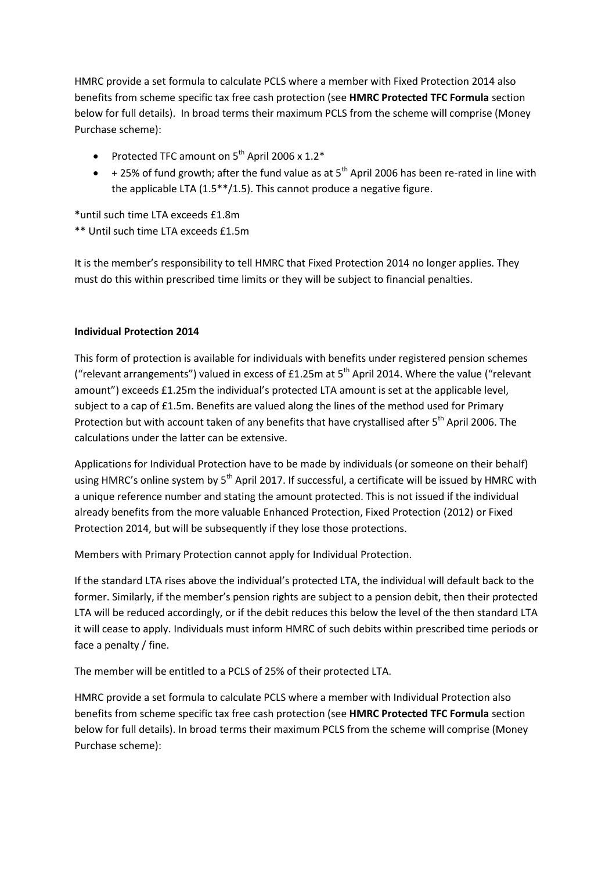HMRC provide a set formula to calculate PCLS where a member with Fixed Protection 2014 also benefits from scheme specific tax free cash protection (see **HMRC Protected TFC Formula** section below for full details). In broad terms their maximum PCLS from the scheme will comprise (Money Purchase scheme):

- Protected TFC amount on  $5^{th}$  April 2006 x 1.2\*
- $\bullet$  + 25% of fund growth; after the fund value as at 5<sup>th</sup> April 2006 has been re-rated in line with the applicable LTA (1.5\*\*/1.5). This cannot produce a negative figure.

\*until such time LTA exceeds £1.8m

\*\* Until such time LTA exceeds £1.5m

It is the member's responsibility to tell HMRC that Fixed Protection 2014 no longer applies. They must do this within prescribed time limits or they will be subject to financial penalties.

#### **Individual Protection 2014**

This form of protection is available for individuals with benefits under registered pension schemes ("relevant arrangements") valued in excess of £1.25m at  $5<sup>th</sup>$  April 2014. Where the value ("relevant amount") exceeds £1.25m the individual's protected LTA amount is set at the applicable level, subject to a cap of £1.5m. Benefits are valued along the lines of the method used for Primary Protection but with account taken of any benefits that have crystallised after 5<sup>th</sup> April 2006. The calculations under the latter can be extensive.

Applications for Individual Protection have to be made by individuals (or someone on their behalf) using HMRC's online system by 5<sup>th</sup> April 2017. If successful, a certificate will be issued by HMRC with a unique reference number and stating the amount protected. This is not issued if the individual already benefits from the more valuable Enhanced Protection, Fixed Protection (2012) or Fixed Protection 2014, but will be subsequently if they lose those protections.

Members with Primary Protection cannot apply for Individual Protection.

If the standard LTA rises above the individual's protected LTA, the individual will default back to the former. Similarly, if the member's pension rights are subject to a pension debit, then their protected LTA will be reduced accordingly, or if the debit reduces this below the level of the then standard LTA it will cease to apply. Individuals must inform HMRC of such debits within prescribed time periods or face a penalty / fine.

The member will be entitled to a PCLS of 25% of their protected LTA.

HMRC provide a set formula to calculate PCLS where a member with Individual Protection also benefits from scheme specific tax free cash protection (see **HMRC Protected TFC Formula** section below for full details). In broad terms their maximum PCLS from the scheme will comprise (Money Purchase scheme):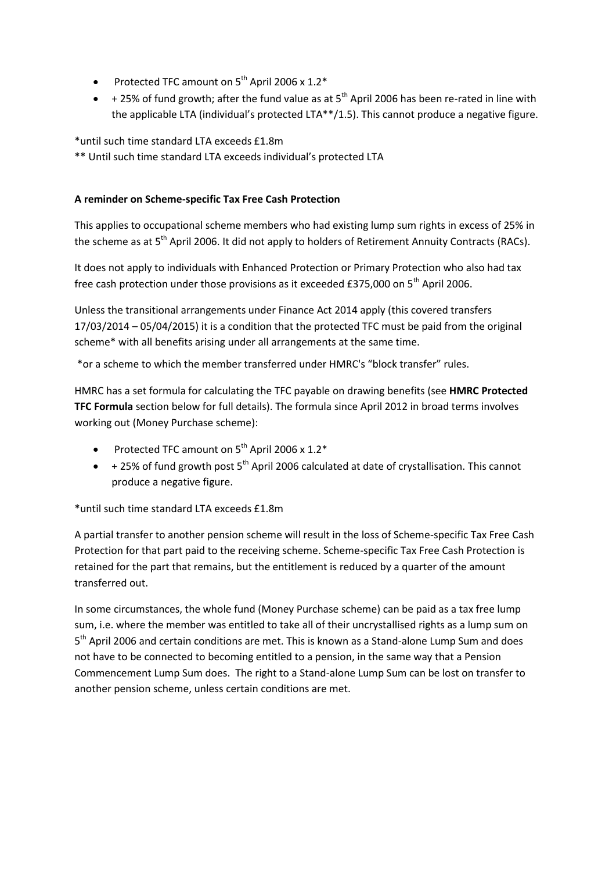- Protected TFC amount on  $5^{th}$  April 2006 x 1.2\*
- $\bullet$  + 25% of fund growth; after the fund value as at 5<sup>th</sup> April 2006 has been re-rated in line with the applicable LTA (individual's protected LTA\*\*/1.5). This cannot produce a negative figure.

\*until such time standard LTA exceeds £1.8m

\*\* Until such time standard LTA exceeds individual's protected LTA

## **A reminder on Scheme-specific Tax Free Cash Protection**

This applies to occupational scheme members who had existing lump sum rights in excess of 25% in the scheme as at 5<sup>th</sup> April 2006. It did not apply to holders of Retirement Annuity Contracts (RACs).

It does not apply to individuals with Enhanced Protection or Primary Protection who also had tax free cash protection under those provisions as it exceeded £375,000 on 5<sup>th</sup> April 2006.

Unless the transitional arrangements under Finance Act 2014 apply (this covered transfers 17/03/2014 – 05/04/2015) it is a condition that the protected TFC must be paid from the original scheme\* with all benefits arising under all arrangements at the same time.

\*or a scheme to which the member transferred under HMRC's "block transfer" rules.

HMRC has a set formula for calculating the TFC payable on drawing benefits (see **HMRC Protected TFC Formula** section below for full details). The formula since April 2012 in broad terms involves working out (Money Purchase scheme):

- Protected TFC amount on  $5^{th}$  April 2006 x 1.2\*
- $+ 25\%$  of fund growth post  $5<sup>th</sup>$  April 2006 calculated at date of crystallisation. This cannot produce a negative figure.

\*until such time standard LTA exceeds £1.8m

A partial transfer to another pension scheme will result in the loss of Scheme-specific Tax Free Cash Protection for that part paid to the receiving scheme. Scheme-specific Tax Free Cash Protection is retained for the part that remains, but the entitlement is reduced by a quarter of the amount transferred out.

In some circumstances, the whole fund (Money Purchase scheme) can be paid as a tax free lump sum, i.e. where the member was entitled to take all of their uncrystallised rights as a lump sum on 5<sup>th</sup> April 2006 and certain conditions are met. This is known as a Stand-alone Lump Sum and does not have to be connected to becoming entitled to a pension, in the same way that a Pension Commencement Lump Sum does. The right to a Stand-alone Lump Sum can be lost on transfer to another pension scheme, unless certain conditions are met.